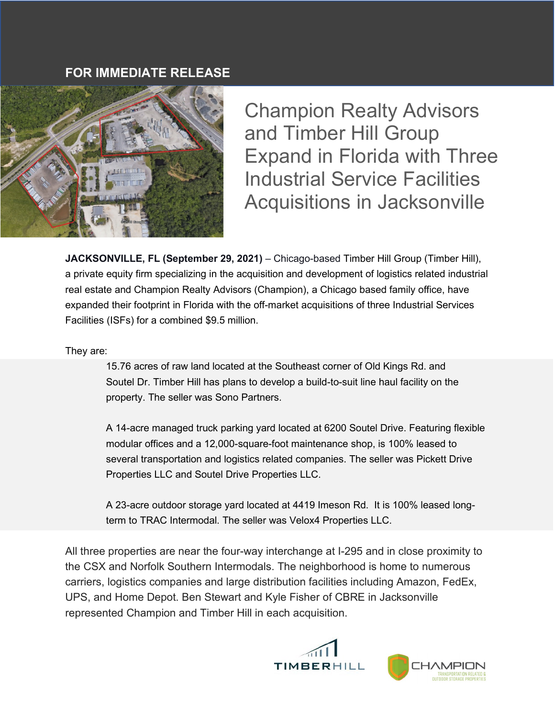## **FOR IMMEDIATE RELEASE**



Champion Realty Advisors and Timber Hill Group Expand in Florida with Three Industrial Service Facilities Acquisitions in Jacksonville

**JACKSONVILLE, FL (September 29, 2021)** – Chicago-based Timber Hill Group (Timber Hill), a private equity firm specializing in the acquisition and development of logistics related industrial real estate and Champion Realty Advisors (Champion), a Chicago based family office, have expanded their footprint in Florida with the off-market acquisitions of three Industrial Services Facilities (ISFs) for a combined \$9.5 million.

They are:

15.76 acres of raw land located at the Southeast corner of Old Kings Rd. and Soutel Dr. Timber Hill has plans to develop a build-to-suit line haul facility on the property. The seller was Sono Partners.

A 14-acre managed truck parking yard located at 6200 Soutel Drive. Featuring flexible modular offices and a 12,000-square-foot maintenance shop, is 100% leased to several transportation and logistics related companies. The seller was Pickett Drive Properties LLC and Soutel Drive Properties LLC.

A 23-acre outdoor storage yard located at 4419 Imeson Rd. It is 100% leased longterm to TRAC Intermodal. The seller was Velox4 Properties LLC.

All three properties are near the four-way interchange at I-295 and in close proximity to the CSX and Norfolk Southern Intermodals. The neighborhood is home to numerous carriers, logistics companies and large distribution facilities including Amazon, FedEx, UPS, and Home Depot. Ben Stewart and Kyle Fisher of CBRE in Jacksonville represented Champion and Timber Hill in each acquisition.

![](_page_0_Picture_9.jpeg)